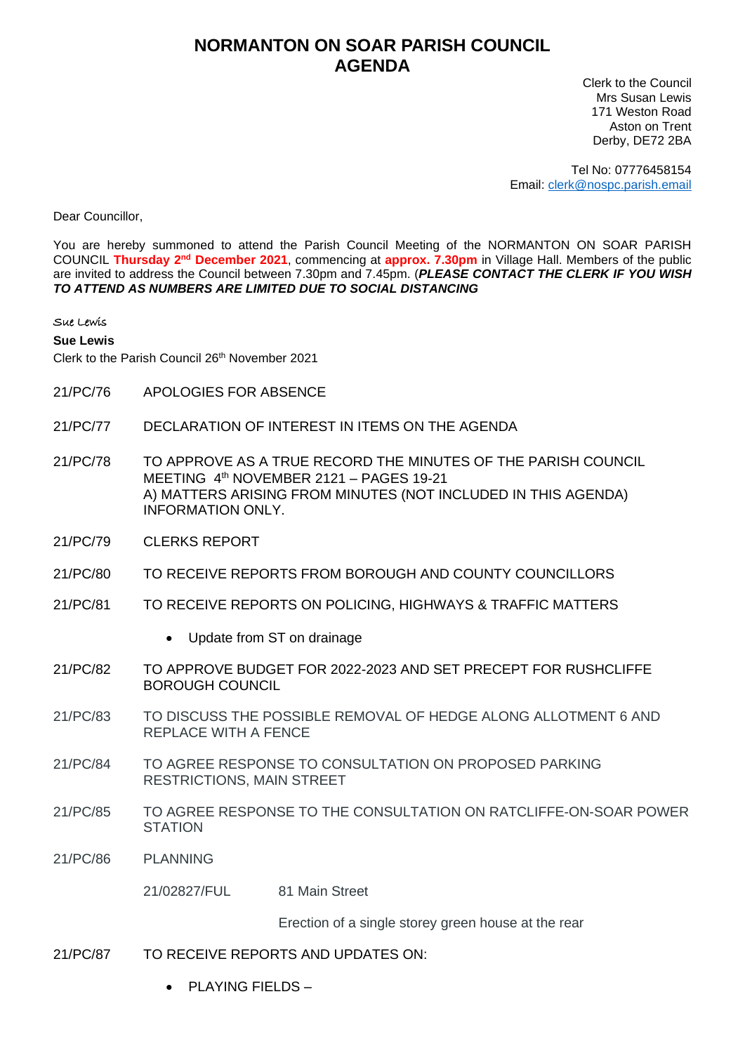## **NORMANTON ON SOAR PARISH COUNCIL AGENDA**

Clerk to the Council Mrs Susan Lewis 171 Weston Road Aston on Trent Derby, DE72 2BA

Tel No: 07776458154 Email: [clerk@nospc.parish.email](mailto:clerk@nospc.parish.email)

Dear Councillor,

You are hereby summoned to attend the Parish Council Meeting of the NORMANTON ON SOAR PARISH COUNCIL Thursday 2<sup>nd</sup> December 2021, commencing at approx. 7.30pm in Village Hall. Members of the public are invited to address the Council between 7.30pm and 7.45pm. (*PLEASE CONTACT THE CLERK IF YOU WISH TO ATTEND AS NUMBERS ARE LIMITED DUE TO SOCIAL DISTANCING*

## Sue Lewis

**Sue Lewis**

Clerk to the Parish Council 26<sup>th</sup> November 2021

- 21/PC/76 APOLOGIES FOR ABSENCE
- 21/PC/77 DECLARATION OF INTEREST IN ITEMS ON THE AGENDA
- 21/PC/78 TO APPROVE AS A TRUE RECORD THE MINUTES OF THE PARISH COUNCIL MEETING 4<sup>th</sup> NOVEMBER 2121 - PAGES 19-21 A) MATTERS ARISING FROM MINUTES (NOT INCLUDED IN THIS AGENDA) INFORMATION ONLY.
- 21/PC/79 CLERKS REPORT
- 21/PC/80 TO RECEIVE REPORTS FROM BOROUGH AND COUNTY COUNCILLORS
- 21/PC/81 TO RECEIVE REPORTS ON POLICING, HIGHWAYS & TRAFFIC MATTERS
	- Update from ST on drainage
- 21/PC/82 TO APPROVE BUDGET FOR 2022-2023 AND SET PRECEPT FOR RUSHCLIFFE BOROUGH COUNCIL
- 21/PC/83 TO DISCUSS THE POSSIBLE REMOVAL OF HEDGE ALONG ALLOTMENT 6 AND REPLACE WITH A FENCE
- 21/PC/84 TO AGREE RESPONSE TO CONSULTATION ON PROPOSED PARKING RESTRICTIONS, MAIN STREET
- 21/PC/85 TO AGREE RESPONSE TO THE CONSULTATION ON RATCLIFFE-ON-SOAR POWER **STATION**
- 21/PC/86 PLANNING

21/02827/FUL 81 Main Street

Erection of a single storey green house at the rear

- 21/PC/87 TO RECEIVE REPORTS AND UPDATES ON:
	- PLAYING FIELDS –